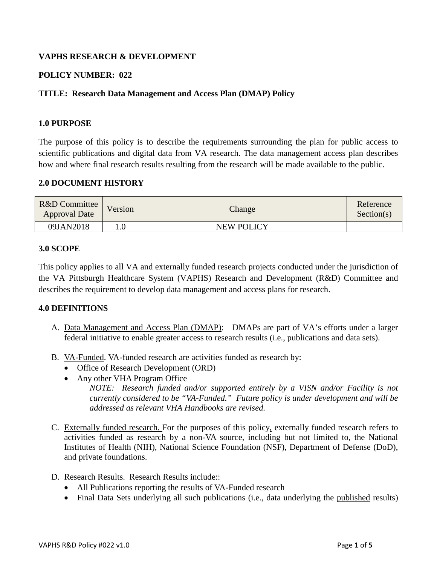# **VAPHS RESEARCH & DEVELOPMENT**

# **POLICY NUMBER: 022**

## **TITLE: Research Data Management and Access Plan (DMAP) Policy**

#### **1.0 PURPOSE**

The purpose of this policy is to describe the requirements surrounding the plan for public access to scientific publications and digital data from VA research. The data management access plan describes how and where final research results resulting from the research will be made available to the public.

### **2.0 DOCUMENT HISTORY**

| R&D Committee<br><b>Approval Date</b> | Version | Change            | Reference<br>Section(s) |
|---------------------------------------|---------|-------------------|-------------------------|
| 09JAN2018                             |         | <b>NEW POLICY</b> |                         |

#### **3.0 SCOPE**

This policy applies to all VA and externally funded research projects conducted under the jurisdiction of the VA Pittsburgh Healthcare System (VAPHS) Research and Development (R&D) Committee and describes the requirement to develop data management and access plans for research.

### **4.0 DEFINITIONS**

- A. Data Management and Access Plan (DMAP): DMAPs are part of VA's efforts under a larger federal initiative to enable greater access to research results (i.e., publications and data sets).
- B. VA-Funded. VA-funded research are activities funded as research by:
	- Office of Research Development (ORD)
	- Any other VHA Program Office

*NOTE: Research funded and/or supported entirely by a VISN and/or Facility is not currently considered to be "VA-Funded." Future policy is under development and will be addressed as relevant VHA Handbooks are revised.* 

- C. Externally funded research. For the purposes of this policy, externally funded research refers to activities funded as research by a non-VA source, including but not limited to, the National Institutes of Health (NIH), National Science Foundation (NSF), Department of Defense (DoD), and private foundations.
- D. Research Results. Research Results include::
	- All Publications reporting the results of VA-Funded research
	- Final Data Sets underlying all such publications (i.e., data underlying the published results)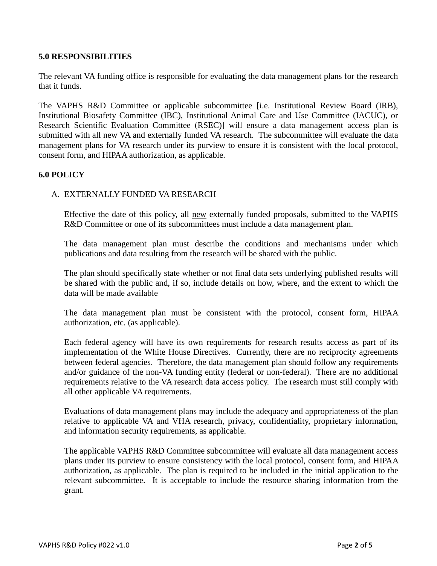### **5.0 RESPONSIBILITIES**

The relevant VA funding office is responsible for evaluating the data management plans for the research that it funds.

The VAPHS R&D Committee or applicable subcommittee [i.e. Institutional Review Board (IRB), Institutional Biosafety Committee (IBC), Institutional Animal Care and Use Committee (IACUC), or Research Scientific Evaluation Committee (RSEC)] will ensure a data management access plan is submitted with all new VA and externally funded VA research. The subcommittee will evaluate the data management plans for VA research under its purview to ensure it is consistent with the local protocol, consent form, and HIPAA authorization, as applicable.

# **6.0 POLICY**

## A. EXTERNALLY FUNDED VA RESEARCH

Effective the date of this policy, all new externally funded proposals, submitted to the VAPHS R&D Committee or one of its subcommittees must include a data management plan.

The data management plan must describe the conditions and mechanisms under which publications and data resulting from the research will be shared with the public.

The plan should specifically state whether or not final data sets underlying published results will be shared with the public and, if so, include details on how, where, and the extent to which the data will be made available

The data management plan must be consistent with the protocol, consent form, HIPAA authorization, etc. (as applicable).

Each federal agency will have its own requirements for research results access as part of its implementation of the White House Directives. Currently, there are no reciprocity agreements between federal agencies. Therefore, the data management plan should follow any requirements and/or guidance of the non-VA funding entity (federal or non-federal). There are no additional requirements relative to the VA research data access policy. The research must still comply with all other applicable VA requirements.

Evaluations of data management plans may include the adequacy and appropriateness of the plan relative to applicable VA and VHA research, privacy, confidentiality, proprietary information, and information security requirements, as applicable.

The applicable VAPHS R&D Committee subcommittee will evaluate all data management access plans under its purview to ensure consistency with the local protocol, consent form, and HIPAA authorization, as applicable. The plan is required to be included in the initial application to the relevant subcommittee. It is acceptable to include the resource sharing information from the grant.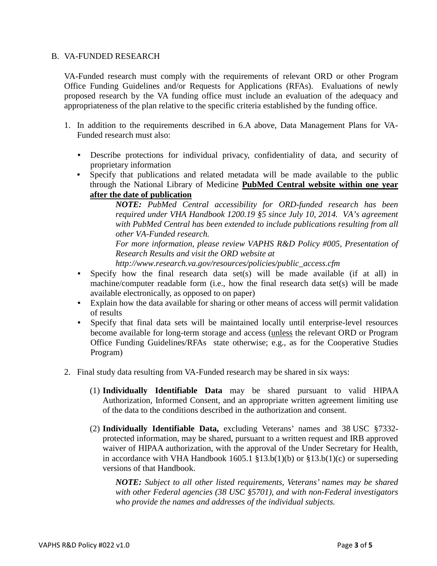#### B. VA-FUNDED RESEARCH

VA-Funded research must comply with the requirements of relevant ORD or other Program Office Funding Guidelines and/or Requests for Applications (RFAs). Evaluations of newly proposed research by the VA funding office must include an evaluation of the adequacy and appropriateness of the plan relative to the specific criteria established by the funding office.

- 1. In addition to the requirements described in 6.A above, Data Management Plans for VA-Funded research must also:
	- Describe protections for individual privacy, confidentiality of data, and security of proprietary information
	- Specify that publications and related metadata will be made available to the public through the National Library of Medicine **PubMed Central website within one year after the date of publication**

*NOTE: PubMed Central accessibility for ORD-funded research has been required under VHA Handbook 1200.19 §5 since July 10, 2014. VA's agreement with PubMed Central has been extended to include publications resulting from all other VA-Funded research.* 

*For more information, please review VAPHS R&D Policy #005, Presentation of Research Results and visit the ORD website at*

*http://www.research.va.gov/resources/policies/public\_access.cfm*

- Specify how the final research data set(s) will be made available (if at all) in machine/computer readable form (i.e., how the final research data set(s) will be made available electronically, as opposed to on paper)
- Explain how the data available for sharing or other means of access will permit validation of results
- Specify that final data sets will be maintained locally until enterprise-level resources become available for long-term storage and access (unless the relevant ORD or Program Office Funding Guidelines/RFAs state otherwise; e.g., as for the Cooperative Studies Program)
- 2. Final study data resulting from VA-Funded research may be shared in six ways:
	- (1) **Individually Identifiable Data** may be shared pursuant to valid HIPAA Authorization, Informed Consent, and an appropriate written agreement limiting use of the data to the conditions described in the authorization and consent.
	- (2) **Individually Identifiable Data,** excluding Veterans' names and 38 USC §7332 protected information, may be shared, pursuant to a written request and IRB approved waiver of HIPAA authorization, with the approval of the Under Secretary for Health, in accordance with VHA Handbook 1605.1  $$13.b(1)(b)$  or  $$13.b(1)(c)$  or superseding versions of that Handbook.

*NOTE: Subject to all other listed requirements, Veterans' names may be shared with other Federal agencies (38 USC §5701), and with non-Federal investigators who provide the names and addresses of the individual subjects.*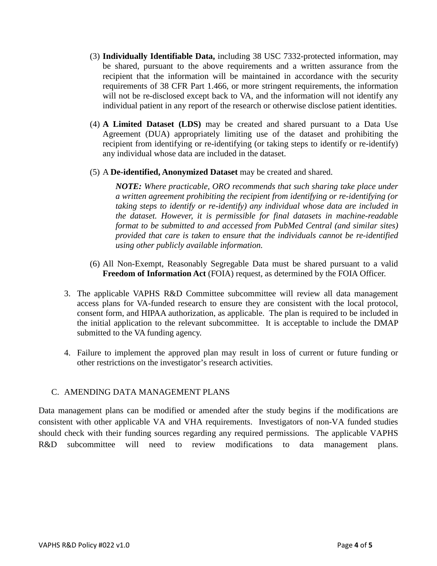- (3) **Individually Identifiable Data,** including 38 USC 7332-protected information, may be shared, pursuant to the above requirements and a written assurance from the recipient that the information will be maintained in accordance with the security requirements of 38 CFR Part 1.466, or more stringent requirements, the information will not be re-disclosed except back to VA, and the information will not identify any individual patient in any report of the research or otherwise disclose patient identities.
- (4) **A Limited Dataset (LDS)** may be created and shared pursuant to a Data Use Agreement (DUA) appropriately limiting use of the dataset and prohibiting the recipient from identifying or re-identifying (or taking steps to identify or re-identify) any individual whose data are included in the dataset.
- (5) A **De-identified, Anonymized Dataset** may be created and shared.

*NOTE: Where practicable, ORO recommends that such sharing take place under a written agreement prohibiting the recipient from identifying or re-identifying (or taking steps to identify or re-identify) any individual whose data are included in the dataset. However, it is permissible for final datasets in machine-readable format to be submitted to and accessed from PubMed Central (and similar sites) provided that care is taken to ensure that the individuals cannot be re-identified using other publicly available information.*

- (6) All Non-Exempt, Reasonably Segregable Data must be shared pursuant to a valid **Freedom of Information Act** (FOIA) request, as determined by the FOIA Officer.
- 3. The applicable VAPHS R&D Committee subcommittee will review all data management access plans for VA-funded research to ensure they are consistent with the local protocol, consent form, and HIPAA authorization, as applicable. The plan is required to be included in the initial application to the relevant subcommittee. It is acceptable to include the DMAP submitted to the VA funding agency.
- 4. Failure to implement the approved plan may result in loss of current or future funding or other restrictions on the investigator's research activities.

### C. AMENDING DATA MANAGEMENT PLANS

Data management plans can be modified or amended after the study begins if the modifications are consistent with other applicable VA and VHA requirements. Investigators of non-VA funded studies should check with their funding sources regarding any required permissions. The applicable VAPHS R&D subcommittee will need to review modifications to data management plans.